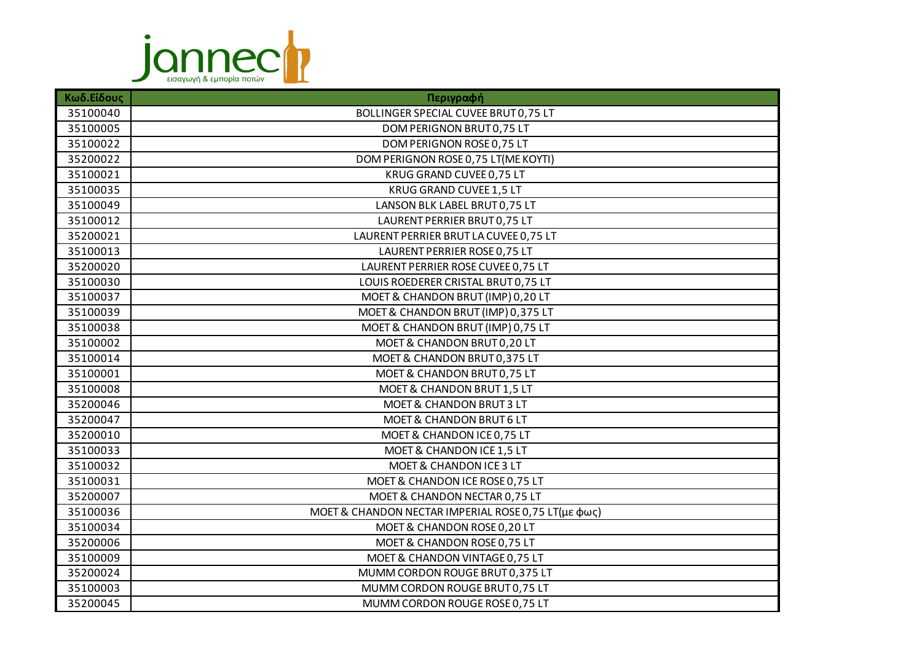

| Κωδ.Είδους | Περιγραφή                                           |
|------------|-----------------------------------------------------|
| 35100040   | BOLLINGER SPECIAL CUVEE BRUT 0,75 LT                |
| 35100005   | DOM PERIGNON BRUT 0,75 LT                           |
| 35100022   | DOM PERIGNON ROSE 0,75 LT                           |
| 35200022   | DOM PERIGNON ROSE 0,75 LT(ME KOYTI)                 |
| 35100021   | KRUG GRAND CUVEE 0,75 LT                            |
| 35100035   | KRUG GRAND CUVEE 1,5 LT                             |
| 35100049   | LANSON BLK LABEL BRUT 0,75 LT                       |
| 35100012   | LAURENT PERRIER BRUT 0,75 LT                        |
| 35200021   | LAURENT PERRIER BRUT LA CUVEE 0,75 LT               |
| 35100013   | LAURENT PERRIER ROSE 0,75 LT                        |
| 35200020   | LAURENT PERRIER ROSE CUVEE 0,75 LT                  |
| 35100030   | LOUIS ROEDERER CRISTAL BRUT 0,75 LT                 |
| 35100037   | MOET & CHANDON BRUT (IMP) 0,20 LT                   |
| 35100039   | MOET & CHANDON BRUT (IMP) 0,375 LT                  |
| 35100038   | MOET & CHANDON BRUT (IMP) 0,75 LT                   |
| 35100002   | MOET & CHANDON BRUT 0,20 LT                         |
| 35100014   | MOET & CHANDON BRUT 0,375 LT                        |
| 35100001   | MOET & CHANDON BRUT 0,75 LT                         |
| 35100008   | MOET & CHANDON BRUT 1,5 LT                          |
| 35200046   | <b>MOET &amp; CHANDON BRUT 3 LT</b>                 |
| 35200047   | MOET & CHANDON BRUT 6 LT                            |
| 35200010   | MOET & CHANDON ICE 0,75 LT                          |
| 35100033   | MOET & CHANDON ICE 1,5 LT                           |
| 35100032   | MOET & CHANDON ICE 3 LT                             |
| 35100031   | MOET & CHANDON ICE ROSE 0,75 LT                     |
| 35200007   | MOET & CHANDON NECTAR 0,75 LT                       |
| 35100036   | MOET & CHANDON NECTAR IMPERIAL ROSE 0,75 LT(με φως) |
| 35100034   | MOET & CHANDON ROSE 0,20 LT                         |
| 35200006   | MOET & CHANDON ROSE 0,75 LT                         |
| 35100009   | MOET & CHANDON VINTAGE 0,75 LT                      |
| 35200024   | MUMM CORDON ROUGE BRUT 0,375 LT                     |
| 35100003   | MUMM CORDON ROUGE BRUT 0,75 LT                      |
| 35200045   | MUMM CORDON ROUGE ROSE 0,75 LT                      |